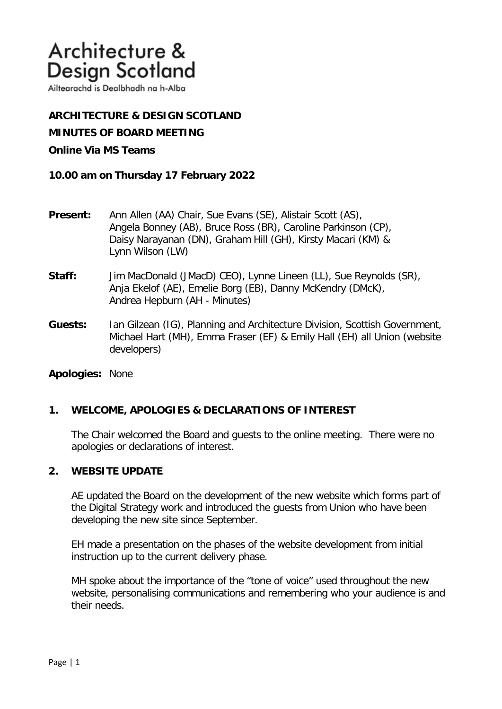Ailtearachd is Dealbhadh na h-Alba

**ARCHITECTURE & DESIGN SCOTLAND MINUTES OF BOARD MEETING** 

## **Online Via MS Teams**

**10.00 am on Thursday 17 February 2022** 

- **Present:** Ann Allen (AA) Chair, Sue Evans (SE), Alistair Scott (AS), Angela Bonney (AB), Bruce Ross (BR), Caroline Parkinson (CP), Daisy Narayanan (DN), Graham Hill (GH), Kirsty Macari (KM) & Lynn Wilson (LW)
- **Staff:** Jim MacDonald (JMacD) CEO), Lynne Lineen (LL), Sue Reynolds (SR), Anja Ekelof (AE), Emelie Borg (EB), Danny McKendry (DMcK), Andrea Hepburn (AH - Minutes)
- **Guests:** Ian Gilzean (IG), Planning and Architecture Division, Scottish Government, Michael Hart (MH), Emma Fraser (EF) & Emily Hall (EH) all Union (website developers)

**Apologies:** None

## **1. WELCOME, APOLOGIES & DECLARATIONS OF INTEREST**

The Chair welcomed the Board and guests to the online meeting. There were no apologies or declarations of interest.

### **2. WEBSITE UPDATE**

AE updated the Board on the development of the new website which forms part of the Digital Strategy work and introduced the guests from Union who have been developing the new site since September.

EH made a presentation on the phases of the website development from initial instruction up to the current delivery phase.

MH spoke about the importance of the "tone of voice" used throughout the new website, personalising communications and remembering who your audience is and their needs.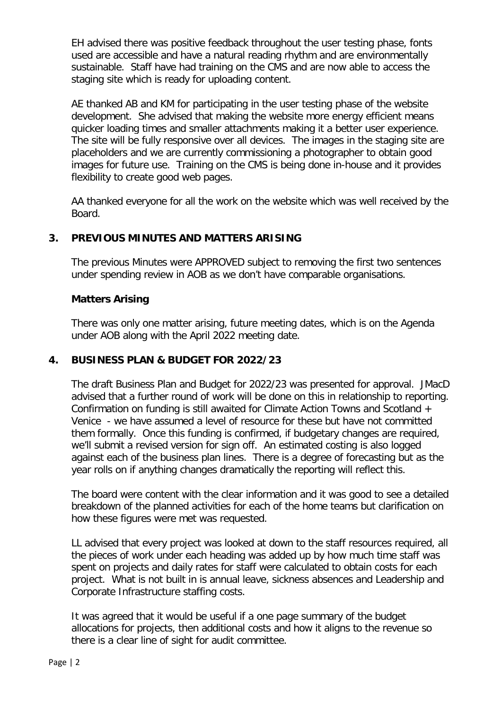EH advised there was positive feedback throughout the user testing phase, fonts used are accessible and have a natural reading rhythm and are environmentally sustainable. Staff have had training on the CMS and are now able to access the staging site which is ready for uploading content.

AE thanked AB and KM for participating in the user testing phase of the website development. She advised that making the website more energy efficient means quicker loading times and smaller attachments making it a better user experience. The site will be fully responsive over all devices. The images in the staging site are placeholders and we are currently commissioning a photographer to obtain good images for future use. Training on the CMS is being done in-house and it provides flexibility to create good web pages.

AA thanked everyone for all the work on the website which was well received by the Board.

# **3. PREVIOUS MINUTES AND MATTERS ARISING**

The previous Minutes were APPROVED subject to removing the first two sentences under spending review in AOB as we don't have comparable organisations.

## **Matters Arising**

There was only one matter arising, future meeting dates, which is on the Agenda under AOB along with the April 2022 meeting date.

# **4. BUSINESS PLAN & BUDGET FOR 2022/23**

The draft Business Plan and Budget for 2022/23 was presented for approval. JMacD advised that a further round of work will be done on this in relationship to reporting. Confirmation on funding is still awaited for Climate Action Towns and Scotland + Venice - we have assumed a level of resource for these but have not committed them formally. Once this funding is confirmed, if budgetary changes are required, we'll submit a revised version for sign off. An estimated costing is also logged against each of the business plan lines. There is a degree of forecasting but as the year rolls on if anything changes dramatically the reporting will reflect this.

The board were content with the clear information and it was good to see a detailed breakdown of the planned activities for each of the home teams but clarification on how these figures were met was requested.

LL advised that every project was looked at down to the staff resources required, all the pieces of work under each heading was added up by how much time staff was spent on projects and daily rates for staff were calculated to obtain costs for each project. What is not built in is annual leave, sickness absences and Leadership and Corporate Infrastructure staffing costs.

It was agreed that it would be useful if a one page summary of the budget allocations for projects, then additional costs and how it aligns to the revenue so there is a clear line of sight for audit committee.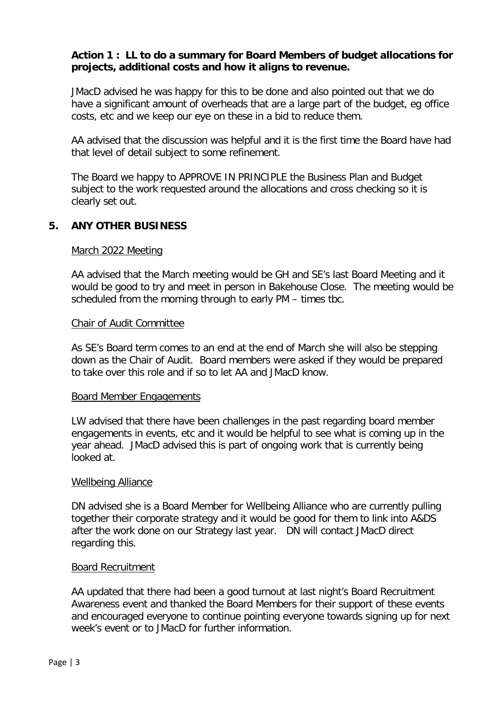## **Action 1 : LL to do a summary for Board Members of budget allocations for projects, additional costs and how it aligns to revenue.**

JMacD advised he was happy for this to be done and also pointed out that we do have a significant amount of overheads that are a large part of the budget, eg office costs, etc and we keep our eye on these in a bid to reduce them.

AA advised that the discussion was helpful and it is the first time the Board have had that level of detail subject to some refinement.

The Board we happy to APPROVE IN PRINCIPLE the Business Plan and Budget subject to the work requested around the allocations and cross checking so it is clearly set out.

### **5. ANY OTHER BUSINESS**

### March 2022 Meeting

AA advised that the March meeting would be GH and SE's last Board Meeting and it would be good to try and meet in person in Bakehouse Close. The meeting would be scheduled from the morning through to early PM – times tbc.

#### Chair of Audit Committee

 As SE's Board term comes to an end at the end of March she will also be stepping down as the Chair of Audit. Board members were asked if they would be prepared to take over this role and if so to let AA and JMacD know.

#### Board Member Engagements

LW advised that there have been challenges in the past regarding board member engagements in events, etc and it would be helpful to see what is coming up in the year ahead. JMacD advised this is part of ongoing work that is currently being looked at.

### Wellbeing Alliance

DN advised she is a Board Member for Wellbeing Alliance who are currently pulling together their corporate strategy and it would be good for them to link into A&DS after the work done on our Strategy last year. DN will contact JMacD direct regarding this.

#### Board Recruitment

AA updated that there had been a good turnout at last night's Board Recruitment Awareness event and thanked the Board Members for their support of these events and encouraged everyone to continue pointing everyone towards signing up for next week's event or to JMacD for further information.